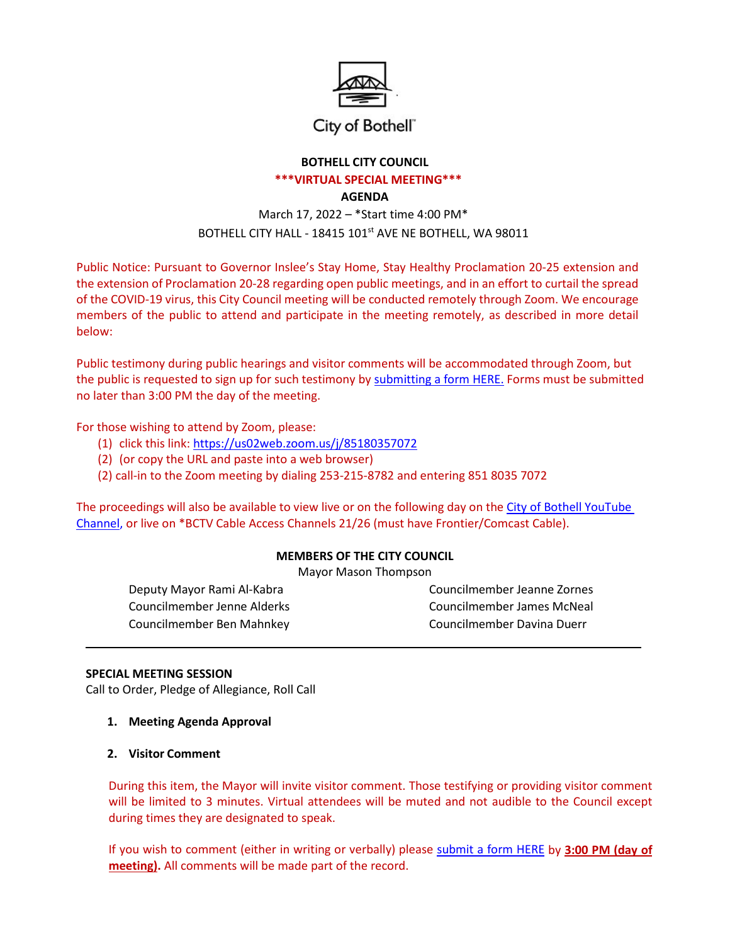

## City of Bothell"

# **BOTHELL CITY COUNCIL**

#### **\*\*\*VIRTUAL SPECIAL MEETING\*\*\***

#### **AGENDA**

# March 17, 2022 – \*Start time 4:00 PM\* BOTHELL CITY HALL - 18415 101<sup>st</sup> AVE NE BOTHELL, WA 98011

Public Notice: Pursuant to Governor Inslee's Stay Home, Stay Healthy Proclamation 20-25 extension and the extension of Proclamation 20-28 regarding open public meetings, and in an effort to curtail the spread of the COVID-19 virus, this City Council meeting will be conducted remotely through Zoom. We encourage members of the public to attend and participate in the meeting remotely, as described in more detail below:

Public testimony during public hearings and visitor comments will be accommodated through Zoom, but the public is requested to sign up for such testimony by [submitting a form HERE.](http://www.ci.bothell.wa.us/FormCenter/City-Clerk-15/Public-Comment-SignUp-Verbal-or-Written-209) Forms must be submitted no later than 3:00 PM the day of the meeting.

For those wishing to attend by Zoom, please:

- (1) click this link: <https://us02web.zoom.us/j/85180357072>
- (2) (or copy the URL and paste into a web browser)
- (2) call-in to the Zoom meeting by dialing 253-215-8782 and entering 851 8035 7072

The proceedings will also be available to view live or on the following day on the City of Bothell [YouTube](https://www.youtube.com/user/CityofBothell/featured) [Channel,](https://www.youtube.com/user/CityofBothell/featured) or live on \*BCTV Cable Access Channels 21/26 (must have Frontier/Comcast Cable).

## **MEMBERS OF THE CITY COUNCIL**

Mayor Mason Thompson

Councilmember Ben Mahnkey Councilmember Davina Duerr

Deputy Mayor Rami Al-Kabra Councilmember Jeanne Zornes Councilmember Jenne Alderks Councilmember James McNeal

## **SPECIAL MEETING SESSION**

Call to Order, Pledge of Allegiance, Roll Call

- **1. Meeting Agenda Approval**
- **2. Visitor Comment**

During this item, the Mayor will invite visitor comment. Those testifying or providing visitor comment will be limited to 3 minutes. Virtual attendees will be muted and not audible to the Council except during times they are designated to speak.

If you wish to comment (either in writing or verbally) please [submit a form HERE](http://www.ci.bothell.wa.us/FormCenter/City-Clerk-15/Remote-Public-Comment-SignUp-209) by **3:00 PM (day of meeting).** All comments will be made part of the record.